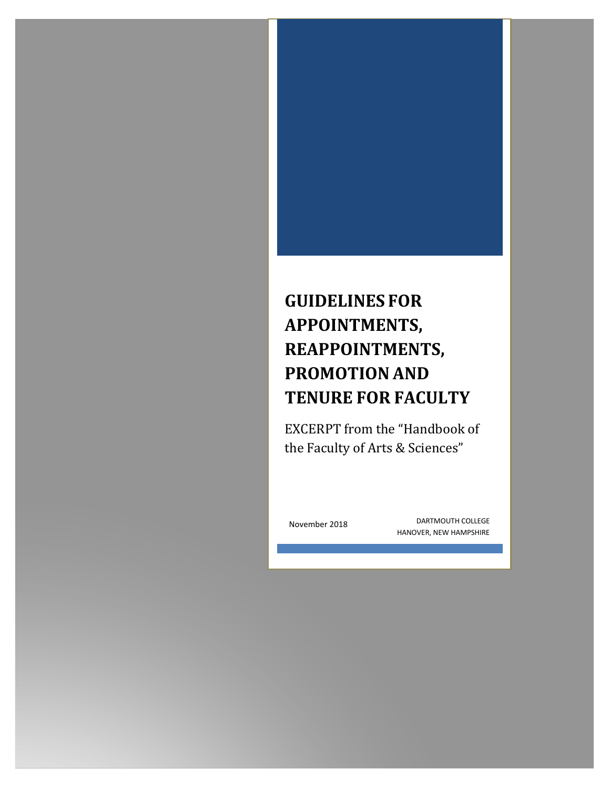# **GUIDELINES FOR APPOINTMENTS, REAPPOINTMENTS, PROMOTION AND TENURE FOR FACULTY**

EXCERPT from the "Handbook of the Faculty of Arts & Sciences"

November 2018

DARTMOUTH COLLEGE HANOVER, NEW HAMPSHIRE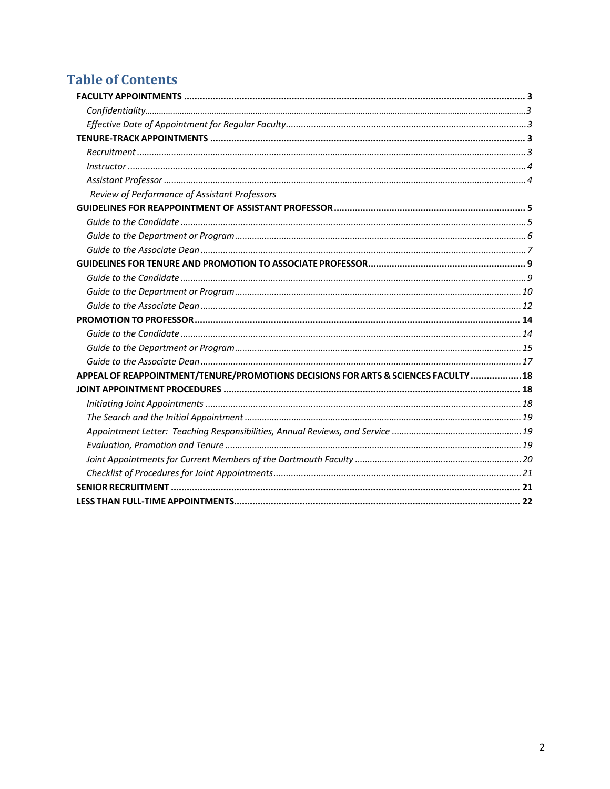# **Table of Contents**

<span id="page-1-0"></span>

| Review of Performance of Assistant Professors                                       |  |
|-------------------------------------------------------------------------------------|--|
|                                                                                     |  |
|                                                                                     |  |
|                                                                                     |  |
|                                                                                     |  |
|                                                                                     |  |
|                                                                                     |  |
|                                                                                     |  |
|                                                                                     |  |
|                                                                                     |  |
|                                                                                     |  |
|                                                                                     |  |
|                                                                                     |  |
| APPEAL OF REAPPOINTMENT/TENURE/PROMOTIONS DECISIONS FOR ARTS & SCIENCES FACULTY  18 |  |
|                                                                                     |  |
|                                                                                     |  |
|                                                                                     |  |
|                                                                                     |  |
|                                                                                     |  |
|                                                                                     |  |
|                                                                                     |  |
|                                                                                     |  |
|                                                                                     |  |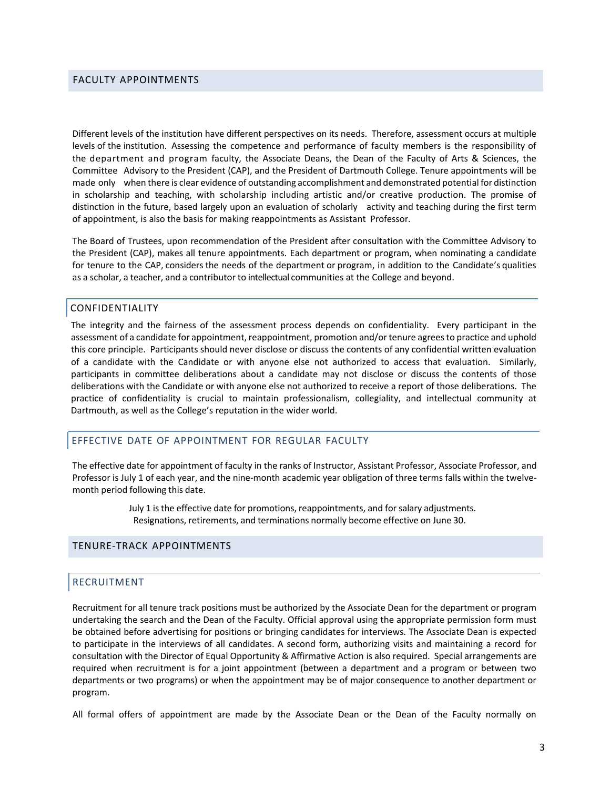#### FACULTY APPOINTMENTS

Different levels of the institution have different perspectives on its needs. Therefore, assessment occurs at multiple levels of the institution. Assessing the competence and performance of faculty members is the responsibility of the department and program faculty, the Associate Deans, the Dean of the Faculty of Arts & Sciences, the Committee Advisory to the President (CAP), and the President of Dartmouth College. Tenure appointments will be made only when there is clear evidence of outstanding accomplishment and demonstrated potential for distinction in scholarship and teaching, with scholarship including artistic and/or creative production. The promise of distinction in the future, based largely upon an evaluation of scholarly activity and teaching during the first term of appointment, is also the basis for making reappointments as Assistant Professor.

The Board of Trustees, upon recommendation of the President after consultation with the Committee Advisory to the President (CAP), makes all tenure appointments. Each department or program, when nominating a candidate for tenure to the CAP, considers the needs of the department or program, in addition to the Candidate's qualities as a scholar, a teacher, and a contributor to intellectual communities at the College and beyond.

#### CONFIDENTIALITY

The integrity and the fairness of the assessment process depends on confidentiality. Every participant in the assessment of a candidate for appointment, reappointment, promotion and/or tenure agrees to practice and uphold this core principle. Participants should never disclose or discuss the contents of any confidential written evaluation of a candidate with the Candidate or with anyone else not authorized to access that evaluation. Similarly, participants in committee deliberations about a candidate may not disclose or discuss the contents of those deliberations with the Candidate or with anyone else not authorized to receive a report of those deliberations. The practice of confidentiality is crucial to maintain professionalism, collegiality, and intellectual community at Dartmouth, as well as the College's reputation in the wider world.

#### <span id="page-2-0"></span>EFFECTIVE DATE OF APPOINTMENT FOR REGULAR FACULTY

The effective date for appointment of faculty in the ranks of Instructor, Assistant Professor, Associate Professor, and Professor is July 1 of each year, and the nine-month academic year obligation of three terms falls within the twelvemonth period following this date.

> July 1 isthe effective date for promotions, reappointments, and for salary adjustments. Resignations, retirements, and terminations normally become effective on June 30.

#### <span id="page-2-1"></span>TENURE-TRACK APPOINTMENTS

#### <span id="page-2-2"></span>RECRUITMENT

Recruitment for all tenure track positions must be authorized by the Associate Dean for the department or program undertaking the search and the Dean of the Faculty. Official approval using the appropriate permission form must be obtained before advertising for positions or bringing candidates for interviews. The Associate Dean is expected to participate in the interviews of all candidates. A second form, authorizing visits and maintaining a record for consultation with the Director of Equal Opportunity & Affirmative Action is also required. Special arrangements are required when recruitment is for a joint appointment (between a department and a program or between two departments or two programs) or when the appointment may be of major consequence to another department or program.

All formal offers of appointment are made by the Associate Dean or the Dean of the Faculty normally on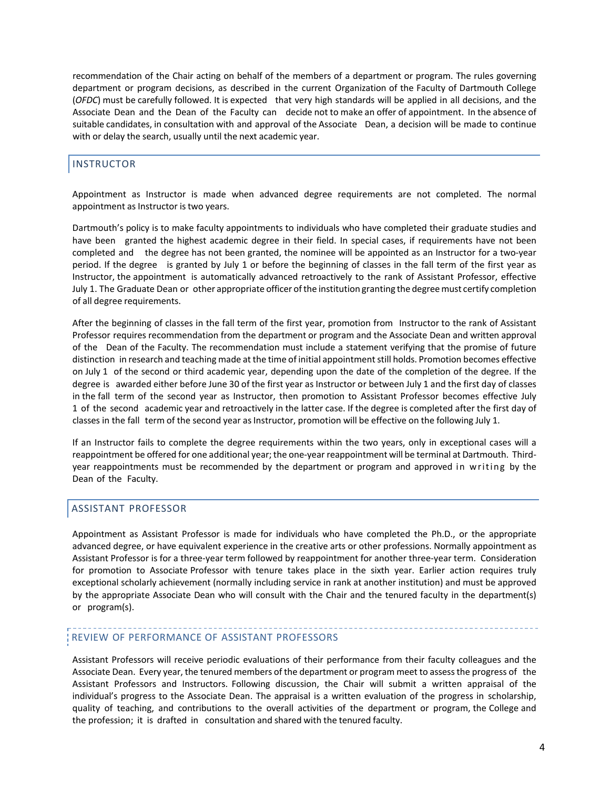recommendation of the Chair acting on behalf of the members of a department or program. The rules governing department or program decisions, as described in the current Organization of the Faculty of Dartmouth College (*OFDC*) must be carefully followed. It is expected that very high standards will be applied in all decisions, and the Associate Dean and the Dean of the Faculty can decide not to make an offer of appointment. In the absence of suitable candidates, in consultation with and approval of the Associate Dean, a decision will be made to continue with or delay the search, usually until the next academic year.

# <span id="page-3-0"></span>INSTRUCTOR

Appointment as Instructor is made when advanced degree requirements are not completed. The normal appointment as Instructor is two years.

Dartmouth's policy is to make faculty appointments to individuals who have completed their graduate studies and have been granted the highest academic degree in their field. In special cases, if requirements have not been completed and the degree has not been granted, the nominee will be appointed as an Instructor for a two-year period. If the degree is granted by July 1 or before the beginning of classes in the fall term of the first year as Instructor, the appointment is automatically advanced retroactively to the rank of Assistant Professor, effective July 1. The Graduate Dean or other appropriate officer ofthe institution granting the degreemust certify completion of all degree requirements.

After the beginning of classes in the fall term of the first year, promotion from Instructor to the rank of Assistant Professor requires recommendation from the department or program and the Associate Dean and written approval of the Dean of the Faculty. The recommendation must include a statement verifying that the promise of future distinction in research and teaching made at the time of initial appointment still holds. Promotion becomes effective on July 1 of the second or third academic year, depending upon the date of the completion of the degree. If the degree is awarded either before June 30 of the first year as Instructor or between July 1 and the first day of classes in the fall term of the second year as Instructor, then promotion to Assistant Professor becomes effective July 1 of the second academic year and retroactively in the latter case. If the degree is completed after the first day of classes in the fall term of the second year as Instructor, promotion will be effective on the following July 1.

If an Instructor fails to complete the degree requirements within the two years, only in exceptional cases will a reappointment be offered for one additional year; the one-year reappointment will be terminal at Dartmouth. Thirdyear reappointments must be recommended by the department or program and approved in writing by the Dean of the Faculty.

# <span id="page-3-1"></span>ASSISTANT PROFESSOR

Appointment as Assistant Professor is made for individuals who have completed the Ph.D., or the appropriate advanced degree, or have equivalent experience in the creative arts or other professions. Normally appointment as Assistant Professor is for a three-year term followed by reappointment for another three-year term. Consideration for promotion to Associate Professor with tenure takes place in the sixth year. Earlier action requires truly exceptional scholarly achievement (normally including service in rank at another institution) and must be approved by the appropriate Associate Dean who will consult with the Chair and the tenured faculty in the department(s) or program(s).

# REVIEW OF PERFORMANCE OF ASSISTANT PROFESSORS

Assistant Professors will receive periodic evaluations of their performance from their faculty colleagues and the Associate Dean. Every year, the tenured members of the department or program meet to assessthe progress of the Assistant Professors and Instructors. Following discussion, the Chair will submit a written appraisal of the individual's progress to the Associate Dean. The appraisal is a written evaluation of the progress in scholarship, quality of teaching, and contributions to the overall activities of the department or program, the College and the profession; it is drafted in consultation and shared with the tenured faculty.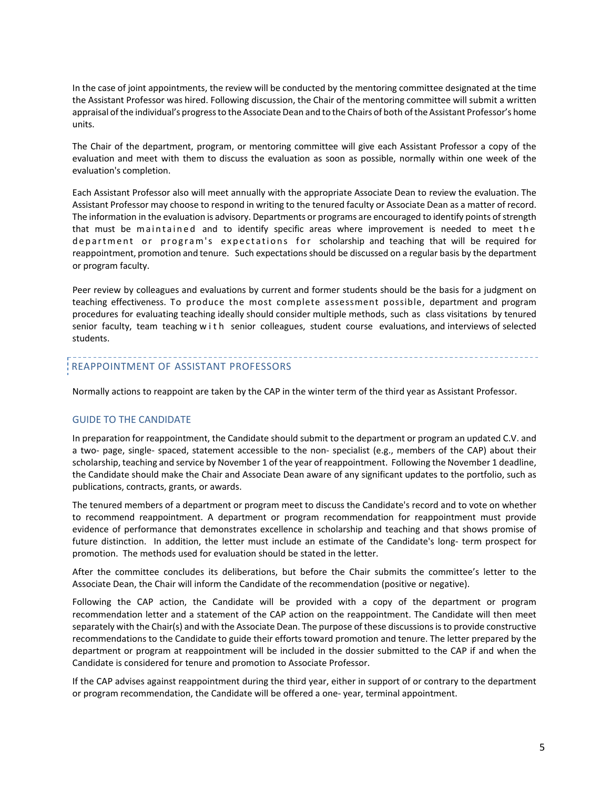In the case of joint appointments, the review will be conducted by the mentoring committee designated at the time the Assistant Professor was hired. Following discussion, the Chair of the mentoring committee will submit a written appraisal of the individual's progress to the Associate Dean and to the Chairs of both of the Assistant Professor's home units.

The Chair of the department, program, or mentoring committee will give each Assistant Professor a copy of the evaluation and meet with them to discuss the evaluation as soon as possible, normally within one week of the evaluation's completion.

Each Assistant Professor also will meet annually with the appropriate Associate Dean to review the evaluation. The Assistant Professor may choose to respond in writing to the tenured faculty or Associate Dean as a matter of record. The information in the evaluation is advisory. Departments or programs are encouraged to identify points ofstrength that must be maintained and to identify specific areas where improvement is needed to meet the department or program's expectations for scholarship and teaching that will be required for reappointment, promotion and tenure. Such expectationsshould be discussed on a regular basis by the department or program faculty.

Peer review by colleagues and evaluations by current and former students should be the basis for a judgment on teaching effectiveness. To produce the most complete assessment possible, department and program procedures for evaluating teaching ideally should consider multiple methods, such as class visitations by tenured senior faculty, team teaching with senior colleagues, student course evaluations, and interviews of selected students.

# REAPPOINTMENT OF ASSISTANT PROFESSORS

Normally actions to reappoint are taken by the CAP in the winter term of the third year as Assistant Professor.

#### GUIDE TO THE CANDIDATE

In preparation for reappointment, the Candidate should submit to the department or program an updated C.V. and a two- page, single- spaced, statement accessible to the non- specialist (e.g., members of the CAP) about their scholarship, teaching and service by November 1 of the year of reappointment. Following the November 1 deadline, the Candidate should make the Chair and Associate Dean aware of any significant updates to the portfolio, such as publications, contracts, grants, or awards.

The tenured members of a department or program meet to discuss the Candidate's record and to vote on whether to recommend reappointment. A department or program recommendation for reappointment must provide evidence of performance that demonstrates excellence in scholarship and teaching and that shows promise of future distinction. In addition, the letter must include an estimate of the Candidate's long- term prospect for promotion. The methods used for evaluation should be stated in the letter.

After the committee concludes its deliberations, but before the Chair submits the committee's letter to the Associate Dean, the Chair will inform the Candidate of the recommendation (positive or negative).

Following the CAP action, the Candidate will be provided with a copy of the department or program recommendation letter and a statement of the CAP action on the reappointment. The Candidate will then meet separately with the Chair(s) and with the Associate Dean. The purpose of these discussions is to provide constructive recommendations to the Candidate to guide their efforts toward promotion and tenure. The letter prepared by the department or program at reappointment will be included in the dossier submitted to the CAP if and when the Candidate is considered for tenure and promotion to Associate Professor.

If the CAP advises against reappointment during the third year, either in support of or contrary to the department or program recommendation, the Candidate will be offered a one- year, terminal appointment.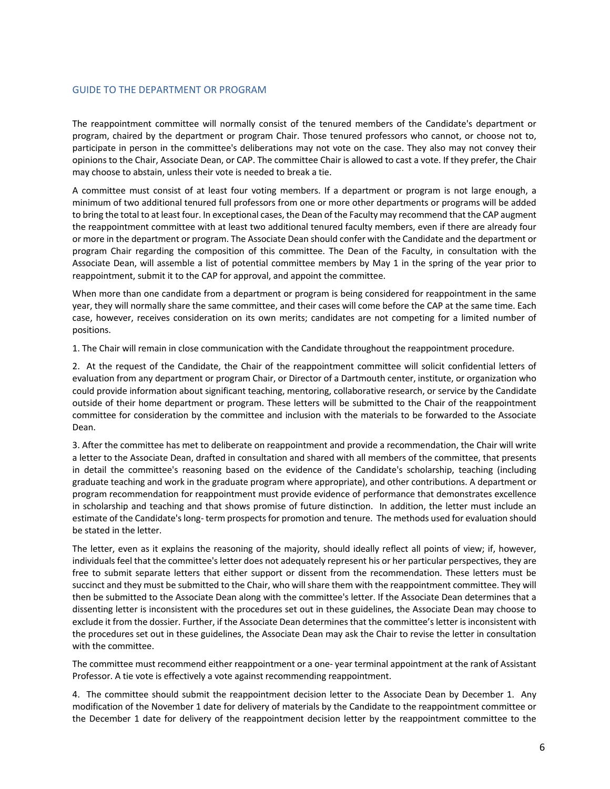#### GUIDE TO THE DEPARTMENT OR PROGRAM

The reappointment committee will normally consist of the tenured members of the Candidate's department or program, chaired by the department or program Chair. Those tenured professors who cannot, or choose not to, participate in person in the committee's deliberations may not vote on the case. They also may not convey their opinions to the Chair, Associate Dean, or CAP. The committee Chair is allowed to cast a vote. If they prefer, the Chair may choose to abstain, unless their vote is needed to break a tie.

A committee must consist of at least four voting members. If a department or program is not large enough, a minimum of two additional tenured full professors from one or more other departments or programs will be added to bring the total to at least four. In exceptional cases, the Dean of the Faculty may recommend that the CAP augment the reappointment committee with at least two additional tenured faculty members, even if there are already four or more in the department or program. The Associate Dean should confer with the Candidate and the department or program Chair regarding the composition of this committee. The Dean of the Faculty, in consultation with the Associate Dean, will assemble a list of potential committee members by May 1 in the spring of the year prior to reappointment, submit it to the CAP for approval, and appoint the committee.

When more than one candidate from a department or program is being considered for reappointment in the same year, they will normally share the same committee, and their cases will come before the CAP at the same time. Each case, however, receives consideration on its own merits; candidates are not competing for a limited number of positions.

1. The Chair will remain in close communication with the Candidate throughout the reappointment procedure.

2. At the request of the Candidate, the Chair of the reappointment committee will solicit confidential letters of evaluation from any department or program Chair, or Director of a Dartmouth center, institute, or organization who could provide information about significant teaching, mentoring, collaborative research, or service by the Candidate outside of their home department or program. These letters will be submitted to the Chair of the reappointment committee for consideration by the committee and inclusion with the materials to be forwarded to the Associate Dean.

3. After the committee has met to deliberate on reappointment and provide a recommendation, the Chair will write a letter to the Associate Dean, drafted in consultation and shared with all members of the committee, that presents in detail the committee's reasoning based on the evidence of the Candidate's scholarship, teaching (including graduate teaching and work in the graduate program where appropriate), and other contributions. A department or program recommendation for reappointment must provide evidence of performance that demonstrates excellence in scholarship and teaching and that shows promise of future distinction. In addition, the letter must include an estimate of the Candidate's long- term prospects for promotion and tenure. The methods used for evaluation should be stated in the letter.

The letter, even as it explains the reasoning of the majority, should ideally reflect all points of view; if, however, individuals feel that the committee's letter does not adequately represent his or her particular perspectives, they are free to submit separate letters that either support or dissent from the recommendation. These letters must be succinct and they must be submitted to the Chair, who will share them with the reappointment committee. They will then be submitted to the Associate Dean along with the committee's letter. If the Associate Dean determines that a dissenting letter is inconsistent with the procedures set out in these guidelines, the Associate Dean may choose to exclude it from the dossier. Further, if the Associate Dean determines that the committee's letter is inconsistent with the procedures set out in these guidelines, the Associate Dean may ask the Chair to revise the letter in consultation with the committee.

The committee must recommend either reappointment or a one- year terminal appointment at the rank of Assistant Professor. A tie vote is effectively a vote against recommending reappointment.

4. The committee should submit the reappointment decision letter to the Associate Dean by December 1. Any modification of the November 1 date for delivery of materials by the Candidate to the reappointment committee or the December 1 date for delivery of the reappointment decision letter by the reappointment committee to the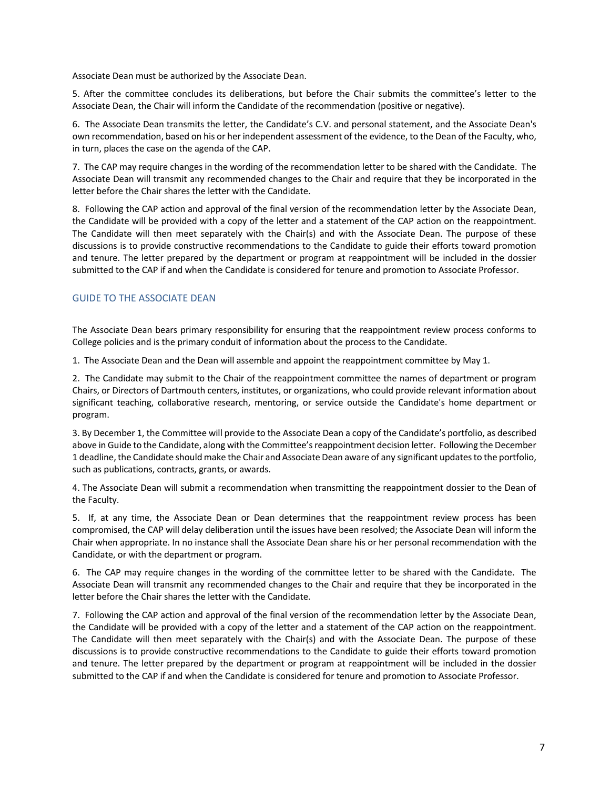Associate Dean must be authorized by the Associate Dean.

5. After the committee concludes its deliberations, but before the Chair submits the committee's letter to the Associate Dean, the Chair will inform the Candidate of the recommendation (positive or negative).

6. The Associate Dean transmits the letter, the Candidate's C.V. and personal statement, and the Associate Dean's own recommendation, based on his or her independent assessment of the evidence, to the Dean of the Faculty, who, in turn, places the case on the agenda of the CAP.

7. The CAP may require changes in the wording of the recommendation letter to be shared with the Candidate. The Associate Dean will transmit any recommended changes to the Chair and require that they be incorporated in the letter before the Chair shares the letter with the Candidate.

8. Following the CAP action and approval of the final version of the recommendation letter by the Associate Dean, the Candidate will be provided with a copy of the letter and a statement of the CAP action on the reappointment. The Candidate will then meet separately with the Chair(s) and with the Associate Dean. The purpose of these discussions is to provide constructive recommendations to the Candidate to guide their efforts toward promotion and tenure. The letter prepared by the department or program at reappointment will be included in the dossier submitted to the CAP if and when the Candidate is considered for tenure and promotion to Associate Professor.

# GUIDE TO THE ASSOCIATE DEAN

The Associate Dean bears primary responsibility for ensuring that the reappointment review process conforms to College policies and is the primary conduit of information about the process to the Candidate.

1. The Associate Dean and the Dean will assemble and appoint the reappointment committee by May 1.

2. The Candidate may submit to the Chair of the reappointment committee the names of department or program Chairs, or Directors of Dartmouth centers, institutes, or organizations, who could provide relevant information about significant teaching, collaborative research, mentoring, or service outside the Candidate's home department or program.

3. By December 1, the Committee will provide to the Associate Dean a copy of the Candidate's portfolio, as described above in Guide to the Candidate, along with the Committee's reappointment decision letter. Following the December 1 deadline, the Candidate should make the Chair and Associate Dean aware of any significant updates to the portfolio, such as publications, contracts, grants, or awards.

4. The Associate Dean will submit a recommendation when transmitting the reappointment dossier to the Dean of the Faculty.

5. If, at any time, the Associate Dean or Dean determines that the reappointment review process has been compromised, the CAP will delay deliberation until the issues have been resolved; the Associate Dean will inform the Chair when appropriate. In no instance shall the Associate Dean share his or her personal recommendation with the Candidate, or with the department or program.

6. The CAP may require changes in the wording of the committee letter to be shared with the Candidate. The Associate Dean will transmit any recommended changes to the Chair and require that they be incorporated in the letter before the Chair shares the letter with the Candidate.

7. Following the CAP action and approval of the final version of the recommendation letter by the Associate Dean, the Candidate will be provided with a copy of the letter and a statement of the CAP action on the reappointment. The Candidate will then meet separately with the Chair(s) and with the Associate Dean. The purpose of these discussions is to provide constructive recommendations to the Candidate to guide their efforts toward promotion and tenure. The letter prepared by the department or program at reappointment will be included in the dossier submitted to the CAP if and when the Candidate is considered for tenure and promotion to Associate Professor.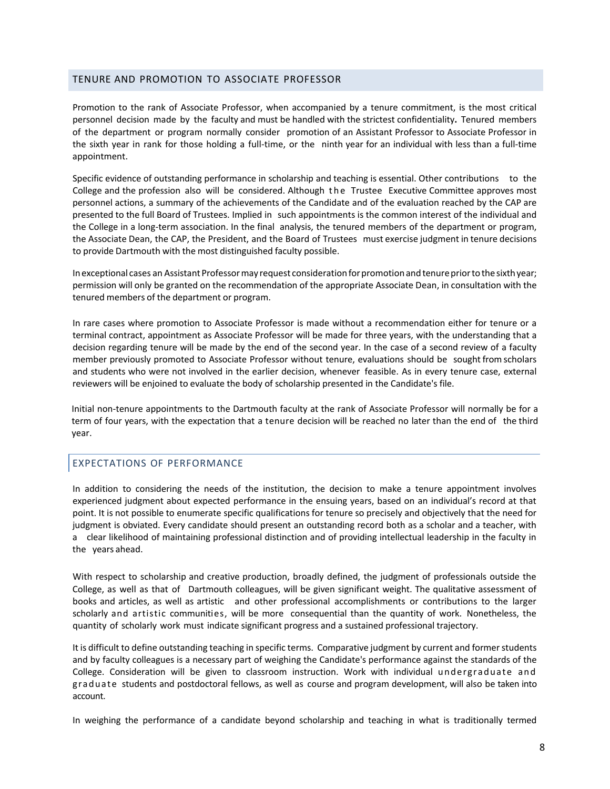#### <span id="page-7-0"></span>TENURE AND PROMOTION TO ASSOCIATE PROFESSOR

Promotion to the rank of Associate Professor, when accompanied by a tenure commitment, is the most critical personnel decision made by the faculty and must be handled with the strictest confidentiality**.** Tenured members of the department or program normally consider promotion of an Assistant Professor to Associate Professor in the sixth year in rank for those holding a full-time, or the ninth year for an individual with less than a full-time appointment.

Specific evidence of outstanding performance in scholarship and teaching is essential. Other contributions to the College and the profession also will be considered. Although the Trustee Executive Committee approves most personnel actions, a summary of the achievements of the Candidate and of the evaluation reached by the CAP are presented to the full Board of Trustees. Implied in such appointments is the common interest of the individual and the College in a long-term association. In the final analysis, the tenured members of the department or program, the Associate Dean, the CAP, the President, and the Board of Trustees must exercise judgment in tenure decisions to provide Dartmouth with the most distinguished faculty possible.

In exceptional cases an Assistant Professor may request consideration for promotion and tenure prior to the sixth year; permission will only be granted on the recommendation of the appropriate Associate Dean, in consultation with the tenured members of the department or program.

In rare cases where promotion to Associate Professor is made without a recommendation either for tenure or a terminal contract, appointment as Associate Professor will be made for three years, with the understanding that a decision regarding tenure will be made by the end of the second year. In the case of a second review of a faculty member previously promoted to Associate Professor without tenure, evaluations should be sought from scholars and students who were not involved in the earlier decision, whenever feasible. As in every tenure case, external reviewers will be enjoined to evaluate the body of scholarship presented in the Candidate's file.

Initial non-tenure appointments to the Dartmouth faculty at the rank of Associate Professor will normally be for a term of four years, with the expectation that a tenure decision will be reached no later than the end of the third year.

# EXPECTATIONS OF PERFORMANCE

In addition to considering the needs of the institution, the decision to make a tenure appointment involves experienced judgment about expected performance in the ensuing years, based on an individual's record at that point. It is not possible to enumerate specific qualifications for tenure so precisely and objectively that the need for judgment is obviated. Every candidate should present an outstanding record both as a scholar and a teacher, with a clear likelihood of maintaining professional distinction and of providing intellectual leadership in the faculty in the years ahead.

With respect to scholarship and creative production, broadly defined, the judgment of professionals outside the College, as well as that of Dartmouth colleagues, will be given significant weight. The qualitative assessment of books and articles, as well as artistic and other professional accomplishments or contributions to the larger scholarly and artistic communities, will be more consequential than the quantity of work. Nonetheless, the quantity of scholarly work must indicate significant progress and a sustained professional trajectory.

It is difficult to define outstanding teaching in specific terms. Comparative judgment by current and former students and by faculty colleagues is a necessary part of weighing the Candidate's performance against the standards of the College. Consideration will be given to classroom instruction. Work with individual undergraduate and graduate students and postdoctoral fellows, as well as course and program development, will also be taken into account.

In weighing the performance of a candidate beyond scholarship and teaching in what is traditionally termed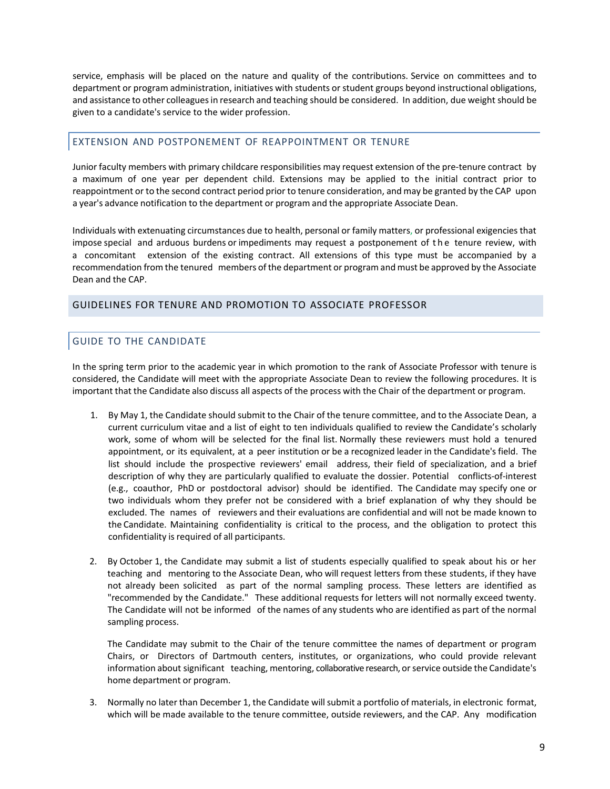service, emphasis will be placed on the nature and quality of the contributions. Service on committees and to department or program administration, initiatives with students or student groups beyond instructional obligations, and assistance to other colleaguesin research and teaching should be considered. In addition, due weight should be given to a candidate's service to the wider profession.

# EXTENSION AND POSTPONEMENT OF REAPPOINTMENT OR TENURE

Junior faculty members with primary childcare responsibilities may request extension of the pre-tenure contract by a maximum of one year per dependent child. Extensions may be applied to the initial contract prior to reappointment or to the second contract period prior to tenure consideration, and may be granted by the CAP upon a year's advance notification to the department or program and the appropriate Associate Dean.

Individuals with extenuating circumstances due to health, personal or family matters, or professional exigenciesthat impose special and arduous burdens or impediments may request a postponement of the tenure review, with a concomitant extension of the existing contract. All extensions of this type must be accompanied by a recommendation from the tenured members of the department or program and must be approved by the Associate Dean and the CAP.

#### <span id="page-8-1"></span>GUIDELINES FOR TENURE AND PROMOTION TO ASSOCIATE PROFESSOR

# <span id="page-8-0"></span>GUIDE TO THE CANDIDATE

In the spring term prior to the academic year in which promotion to the rank of Associate Professor with tenure is considered, the Candidate will meet with the appropriate Associate Dean to review the following procedures. It is important that the Candidate also discuss all aspects of the process with the Chair of the department or program.

- 1. By May 1, the Candidate should submit to the Chair of the tenure committee, and to the Associate Dean, a current curriculum vitae and a list of eight to ten individuals qualified to review the Candidate's scholarly work, some of whom will be selected for the final list. Normally these reviewers must hold a tenured appointment, or its equivalent, at a peer institution or be a recognized leader in the Candidate's field. The list should include the prospective reviewers' email address, their field of specialization, and a brief description of why they are particularly qualified to evaluate the dossier. Potential conflicts-of-interest (e.g., coauthor, PhD or postdoctoral advisor) should be identified. The Candidate may specify one or two individuals whom they prefer not be considered with a brief explanation of why they should be excluded. The names of reviewers and their evaluations are confidential and will not be made known to the Candidate. Maintaining confidentiality is critical to the process, and the obligation to protect this confidentiality is required of all participants.
- 2. By October 1, the Candidate may submit a list of students especially qualified to speak about his or her teaching and mentoring to the Associate Dean, who will request letters from these students, if they have not already been solicited as part of the normal sampling process. These letters are identified as "recommended by the Candidate." These additional requests for letters will not normally exceed twenty. The Candidate will not be informed of the names of any students who are identified as part of the normal sampling process.

The Candidate may submit to the Chair of the tenure committee the names of department or program Chairs, or Directors of Dartmouth centers, institutes, or organizations, who could provide relevant information about significant teaching, mentoring, collaborative research, orservice outside the Candidate's home department or program.

3. Normally no later than December 1, the Candidate willsubmit a portfolio of materials, in electronic format, which will be made available to the tenure committee, outside reviewers, and the CAP. Any modification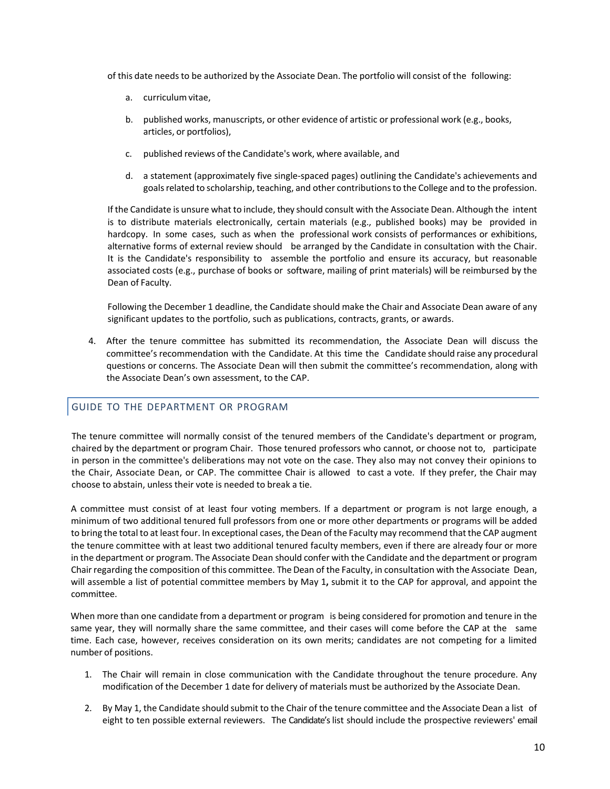of this date needsto be authorized by the Associate Dean. The portfolio will consist of the following:

- a. curriculumvitae,
- b. published works, manuscripts, or other evidence of artistic or professional work (e.g., books, articles, or portfolios),
- c. published reviews of the Candidate's work, where available, and
- d. a statement (approximately five single-spaced pages) outlining the Candidate's achievements and goals related to scholarship, teaching, and other contributions to the College and to the profession.

If the Candidate is unsure what to include, they should consult with the Associate Dean. Although the intent is to distribute materials electronically, certain materials (e.g., published books) may be provided in hardcopy. In some cases, such as when the professional work consists of performances or exhibitions, alternative forms of external review should be arranged by the Candidate in consultation with the Chair. It is the Candidate's responsibility to assemble the portfolio and ensure its accuracy, but reasonable associated costs (e.g., purchase of books or software, mailing of print materials) will be reimbursed by the Dean of Faculty.

Following the December 1 deadline, the Candidate should make the Chair and Associate Dean aware of any significant updates to the portfolio, such as publications, contracts, grants, or awards.

4. After the tenure committee has submitted its recommendation, the Associate Dean will discuss the committee's recommendation with the Candidate. At this time the Candidate should raise any procedural questions or concerns. The Associate Dean will then submit the committee's recommendation, along with the Associate Dean's own assessment, to the CAP.

# <span id="page-9-0"></span>GUIDE TO THE DEPARTMENT OR PROGRAM

The tenure committee will normally consist of the tenured members of the Candidate's department or program, chaired by the department or program Chair. Those tenured professors who cannot, or choose not to, participate in person in the committee's deliberations may not vote on the case. They also may not convey their opinions to the Chair, Associate Dean, or CAP. The committee Chair is allowed to cast a vote. If they prefer, the Chair may choose to abstain, unless their vote is needed to break a tie.

A committee must consist of at least four voting members. If a department or program is not large enough, a minimum of two additional tenured full professors from one or more other departments or programs will be added to bring the total to at least four. In exceptional cases, the Dean of the Faculty may recommend that the CAP augment the tenure committee with at least two additional tenured faculty members, even if there are already four or more in the department or program. The Associate Dean should confer with the Candidate and the department or program Chair regarding the composition of this committee. The Dean of the Faculty, in consultation with the Associate Dean, will assemble a list of potential committee members by May 1**,** submit it to the CAP for approval, and appoint the committee.

When more than one candidate from a department or program is being considered for promotion and tenure in the same year, they will normally share the same committee, and their cases will come before the CAP at the same time. Each case, however, receives consideration on its own merits; candidates are not competing for a limited number of positions.

- 1. The Chair will remain in close communication with the Candidate throughout the tenure procedure. Any modification of the December 1 date for delivery of materials must be authorized by the Associate Dean.
- 2. By May 1, the Candidate should submit to the Chair of the tenure committee and the Associate Dean a list of eight to ten possible external reviewers. The Candidate'slist should include the prospective reviewers' email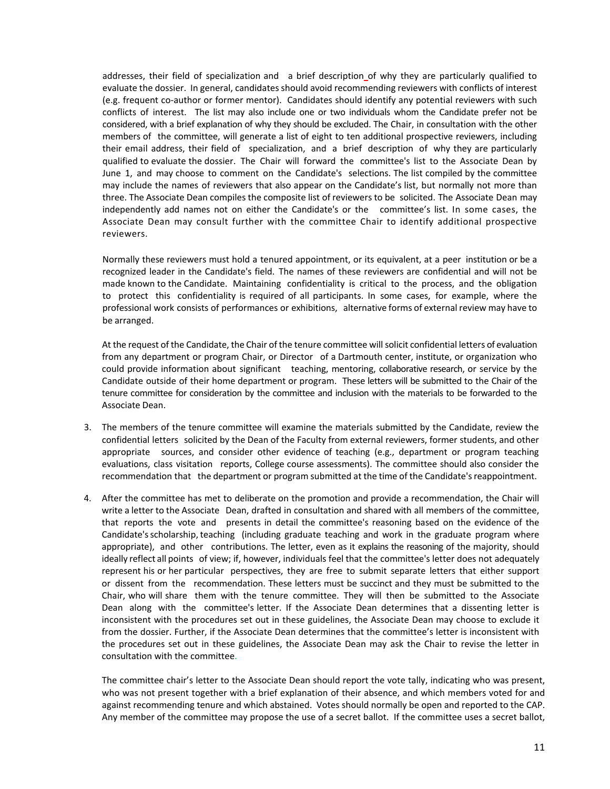addresses, their field of specialization and a brief description of why they are particularly qualified to evaluate the dossier. In general, candidates should avoid recommending reviewers with conflicts of interest (e.g. frequent co-author or former mentor). Candidates should identify any potential reviewers with such conflicts of interest. The list may also include one or two individuals whom the Candidate prefer not be considered, with a brief explanation of why they should be excluded. The Chair, in consultation with the other members of the committee, will generate a list of eight to ten additional prospective reviewers, including their email address, their field of specialization, and a brief description of why they are particularly qualified to evaluate the dossier. The Chair will forward the committee's list to the Associate Dean by June 1, and may choose to comment on the Candidate's selections. The list compiled by the committee may include the names of reviewers that also appear on the Candidate's list, but normally not more than three. The Associate Dean compiles the composite list of reviewers to be solicited. The Associate Dean may independently add names not on either the Candidate's or the committee's list. In some cases, the Associate Dean may consult further with the committee Chair to identify additional prospective reviewers.

Normally these reviewers must hold a tenured appointment, or its equivalent, at a peer institution or be a recognized leader in the Candidate's field. The names of these reviewers are confidential and will not be made known to the Candidate. Maintaining confidentiality is critical to the process, and the obligation to protect this confidentiality is required of all participants. In some cases, for example, where the professional work consists of performances or exhibitions, alternative forms of external review may have to be arranged.

At the request of the Candidate, the Chair of the tenure committee will solicit confidential letters of evaluation from any department or program Chair, or Director of a Dartmouth center, institute, or organization who could provide information about significant teaching, mentoring, collaborative research, or service by the Candidate outside of their home department or program. These letters will be submitted to the Chair of the tenure committee for consideration by the committee and inclusion with the materials to be forwarded to the Associate Dean.

- 3. The members of the tenure committee will examine the materials submitted by the Candidate, review the confidential letters solicited by the Dean of the Faculty from external reviewers, former students, and other appropriate sources, and consider other evidence of teaching (e.g., department or program teaching evaluations, class visitation reports, College course assessments). The committee should also consider the recommendation that the department or program submitted at the time of the Candidate's reappointment.
- 4. After the committee has met to deliberate on the promotion and provide a recommendation, the Chair will write a letter to the Associate Dean, drafted in consultation and shared with all members of the committee, that reports the vote and presents in detail the committee's reasoning based on the evidence of the Candidate'sscholarship, teaching (including graduate teaching and work in the graduate program where appropriate), and other contributions. The letter, even as it explains the reasoning of the majority, should ideally reflect all points of view; if, however, individuals feel that the committee's letter does not adequately represent his or her particular perspectives, they are free to submit separate letters that either support or dissent from the recommendation. These letters must be succinct and they must be submitted to the Chair, who will share them with the tenure committee. They will then be submitted to the Associate Dean along with the committee's letter. If the Associate Dean determines that a dissenting letter is inconsistent with the procedures set out in these guidelines, the Associate Dean may choose to exclude it from the dossier. Further, if the Associate Dean determines that the committee's letter is inconsistent with the procedures set out in these guidelines, the Associate Dean may ask the Chair to revise the letter in consultation with the committee.

The committee chair's letter to the Associate Dean should report the vote tally, indicating who was present, who was not present together with a brief explanation of their absence, and which members voted for and against recommending tenure and which abstained. Votes should normally be open and reported to the CAP. Any member of the committee may propose the use of a secret ballot. If the committee uses a secret ballot,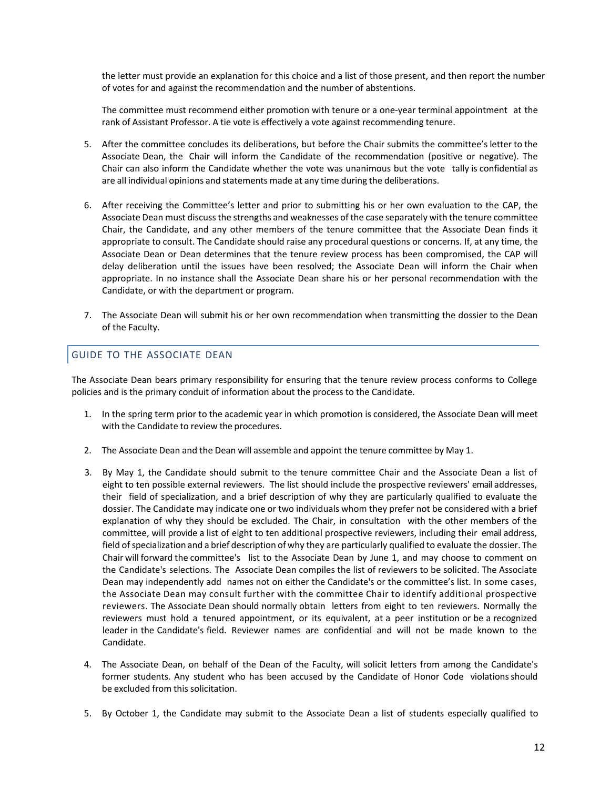the letter must provide an explanation for this choice and a list of those present, and then report the number of votes for and against the recommendation and the number of abstentions.

The committee must recommend either promotion with tenure or a one-year terminal appointment at the rank of Assistant Professor. A tie vote is effectively a vote against recommending tenure.

- 5. After the committee concludes its deliberations, but before the Chair submits the committee's letter to the Associate Dean, the Chair will inform the Candidate of the recommendation (positive or negative). The Chair can also inform the Candidate whether the vote was unanimous but the vote tally is confidential as are all individual opinions and statements made at any time during the deliberations.
- 6. After receiving the Committee's letter and prior to submitting his or her own evaluation to the CAP, the Associate Dean must discuss the strengths and weaknesses of the case separately with the tenure committee Chair, the Candidate, and any other members of the tenure committee that the Associate Dean finds it appropriate to consult. The Candidate should raise any procedural questions or concerns. If, at any time, the Associate Dean or Dean determines that the tenure review process has been compromised, the CAP will delay deliberation until the issues have been resolved; the Associate Dean will inform the Chair when appropriate. In no instance shall the Associate Dean share his or her personal recommendation with the Candidate, or with the department or program.
- 7. The Associate Dean will submit his or her own recommendation when transmitting the dossier to the Dean of the Faculty.

# <span id="page-11-0"></span>GUIDE TO THE ASSOCIATE DEAN

The Associate Dean bears primary responsibility for ensuring that the tenure review process conforms to College policies and is the primary conduit of information about the process to the Candidate.

- 1. In the spring term prior to the academic year in which promotion is considered, the Associate Dean will meet with the Candidate to review the procedures.
- 2. The Associate Dean and the Dean will assemble and appoint the tenure committee by May 1.
- 3. By May 1, the Candidate should submit to the tenure committee Chair and the Associate Dean a list of eight to ten possible external reviewers. The list should include the prospective reviewers' email addresses, their field of specialization, and a brief description of why they are particularly qualified to evaluate the dossier. The Candidate may indicate one or two individuals whom they prefer not be considered with a brief explanation of why they should be excluded. The Chair, in consultation with the other members of the committee, will provide a list of eight to ten additional prospective reviewers, including their email address, field of specialization and a brief description of why they are particularly qualified to evaluate the dossier. The Chair will forward the committee's list to the Associate Dean by June 1, and may choose to comment on the Candidate's selections. The Associate Dean compiles the list of reviewers to be solicited. The Associate Dean may independently add names not on either the Candidate's or the committee's list. In some cases, the Associate Dean may consult further with the committee Chair to identify additional prospective reviewers. The Associate Dean should normally obtain letters from eight to ten reviewers. Normally the reviewers must hold a tenured appointment, or its equivalent, at a peer institution or be a recognized leader in the Candidate's field. Reviewer names are confidential and will not be made known to the Candidate.
- 4. The Associate Dean, on behalf of the Dean of the Faculty, will solicit letters from among the Candidate's former students. Any student who has been accused by the Candidate of Honor Code violations should be excluded from this solicitation.
- 5. By October 1, the Candidate may submit to the Associate Dean a list of students especially qualified to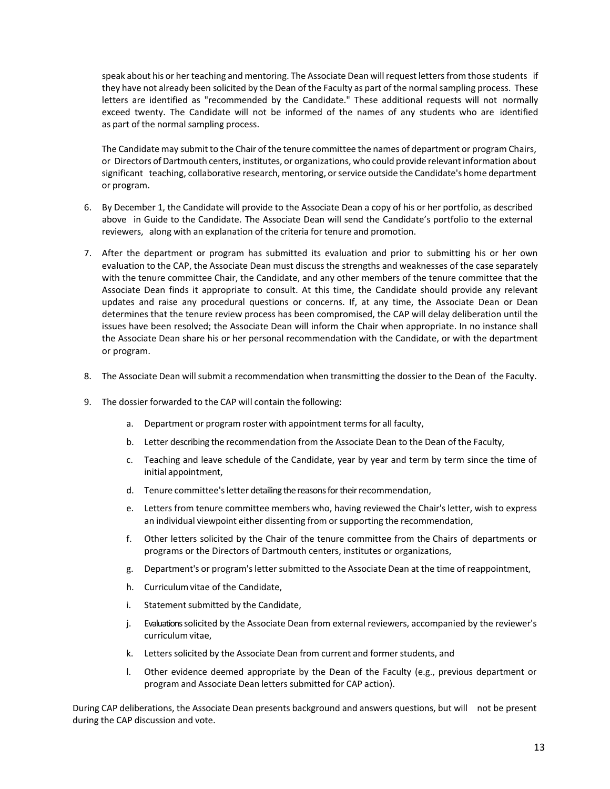speak about his or her teaching and mentoring. The Associate Dean will request letters from those students if they have not already been solicited by the Dean of the Faculty as part of the normal sampling process. These letters are identified as "recommended by the Candidate." These additional requests will not normally exceed twenty. The Candidate will not be informed of the names of any students who are identified as part of the normal sampling process.

The Candidate may submit to the Chair of the tenure committee the names of department or program Chairs, or Directors of Dartmouth centers, institutes, or organizations, who could provide relevantinformation about significant teaching, collaborative research, mentoring, orservice outside the Candidate's home department or program.

- 6. By December 1, the Candidate will provide to the Associate Dean a copy of his or her portfolio, as described above in Guide to the Candidate. The Associate Dean will send the Candidate's portfolio to the external reviewers, along with an explanation of the criteria for tenure and promotion.
- 7. After the department or program has submitted its evaluation and prior to submitting his or her own evaluation to the CAP, the Associate Dean must discuss the strengths and weaknesses of the case separately with the tenure committee Chair, the Candidate, and any other members of the tenure committee that the Associate Dean finds it appropriate to consult. At this time, the Candidate should provide any relevant updates and raise any procedural questions or concerns. If, at any time, the Associate Dean or Dean determines that the tenure review process has been compromised, the CAP will delay deliberation until the issues have been resolved; the Associate Dean will inform the Chair when appropriate. In no instance shall the Associate Dean share his or her personal recommendation with the Candidate, or with the department or program.
- 8. The Associate Dean will submit a recommendation when transmitting the dossier to the Dean of the Faculty.
- 9. The dossier forwarded to the CAP will contain the following:
	- a. Department or program roster with appointment terms for all faculty,
	- b. Letter describing the recommendation from the Associate Dean to the Dean of the Faculty,
	- c. Teaching and leave schedule of the Candidate, year by year and term by term since the time of initial appointment,
	- d. Tenure committee's letter detailing the reasons for their recommendation,
	- e. Letters from tenure committee members who, having reviewed the Chair's letter, wish to express an individual viewpoint either dissenting from or supporting the recommendation,
	- f. Other letters solicited by the Chair of the tenure committee from the Chairs of departments or programs or the Directors of Dartmouth centers, institutes or organizations,
	- g. Department's or program'sletter submitted to the Associate Dean at the time of reappointment,
	- h. Curriculumvitae of the Candidate,
	- i. Statement submitted by the Candidate,
	- j. Evaluationssolicited by the Associate Dean from external reviewers, accompanied by the reviewer's curriculum vitae,
	- k. Letters solicited by the Associate Dean from current and former students, and
	- l. Other evidence deemed appropriate by the Dean of the Faculty (e.g., previous department or program and Associate Dean letters submitted for CAP action).

During CAP deliberations, the Associate Dean presents background and answers questions, but will not be present during the CAP discussion and vote.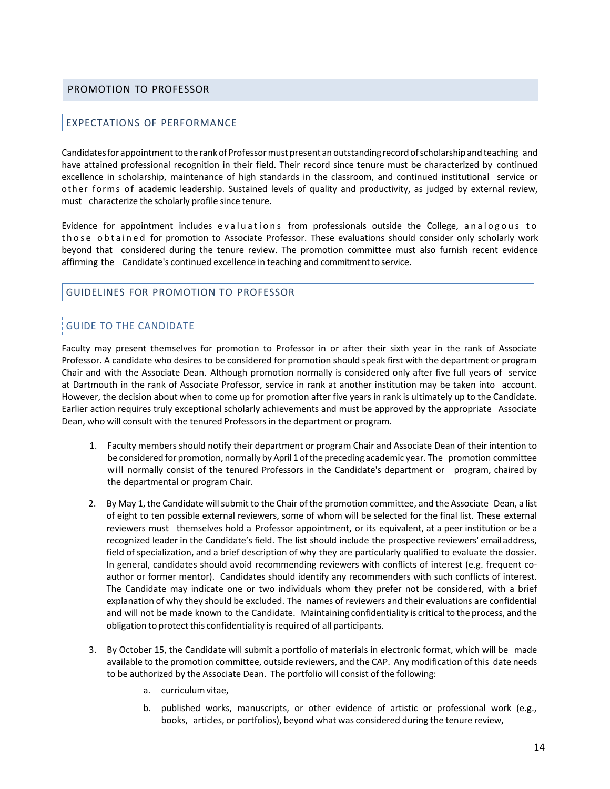#### <span id="page-13-0"></span>PROMOTION TO PROFESSOR

# EXPECTATIONS OF PERFORMANCE

Candidatesfor appointmentto the rankofProfessormust present an outstanding record ofscholarship and teaching and have attained professional recognition in their field. Their record since tenure must be characterized by continued excellence in scholarship, maintenance of high standards in the classroom, and continued institutional service or other forms of academic leadership. Sustained levels of quality and productivity, as judged by external review, must characterize the scholarly profile since tenure.

Evidence for appointment includes evaluations from professionals outside the College, analogous to those obtained for promotion to Associate Professor. These evaluations should consider only scholarly work beyond that considered during the tenure review. The promotion committee must also furnish recent evidence affirming the Candidate's continued excellence in teaching and commitment to service.

#### GUIDELINES FOR PROMOTION TO PROFESSOR

# GUIDE TO THE CANDIDATE

Faculty may present themselves for promotion to Professor in or after their sixth year in the rank of Associate Professor. A candidate who desires to be considered for promotion should speak first with the department or program Chair and with the Associate Dean. Although promotion normally is considered only after five full years of service at Dartmouth in the rank of Associate Professor, service in rank at another institution may be taken into account. However, the decision about when to come up for promotion after five years in rank is ultimately up to the Candidate. Earlier action requires truly exceptional scholarly achievements and must be approved by the appropriate Associate Dean, who will consult with the tenured Professors in the department or program.

- 1. Faculty members should notify their department or program Chair and Associate Dean of their intention to be considered for promotion, normally by April 1 of the preceding academic year. The promotion committee will normally consist of the tenured Professors in the Candidate's department or program, chaired by the departmental or program Chair.
- 2. By May 1, the Candidate will submit to the Chair of the promotion committee, and the Associate Dean, a list of eight to ten possible external reviewers, some of whom will be selected for the final list. These external reviewers must themselves hold a Professor appointment, or its equivalent, at a peer institution or be a recognized leader in the Candidate's field. The list should include the prospective reviewers' email address, field of specialization, and a brief description of why they are particularly qualified to evaluate the dossier. In general, candidates should avoid recommending reviewers with conflicts of interest (e.g. frequent coauthor or former mentor). Candidates should identify any recommenders with such conflicts of interest. The Candidate may indicate one or two individuals whom they prefer not be considered, with a brief explanation of why they should be excluded. The names of reviewers and their evaluations are confidential and will not be made known to the Candidate. Maintaining confidentiality is criticalto the process, and the obligation to protect this confidentiality is required of all participants.
- 3. By October 15, the Candidate will submit a portfolio of materials in electronic format, which will be made available to the promotion committee, outside reviewers, and the CAP. Any modification of this date needs to be authorized by the Associate Dean. The portfolio will consist of the following:
	- a. curriculumvitae,
	- b. published works, manuscripts, or other evidence of artistic or professional work (e.g., books, articles, or portfolios), beyond what was considered during the tenure review,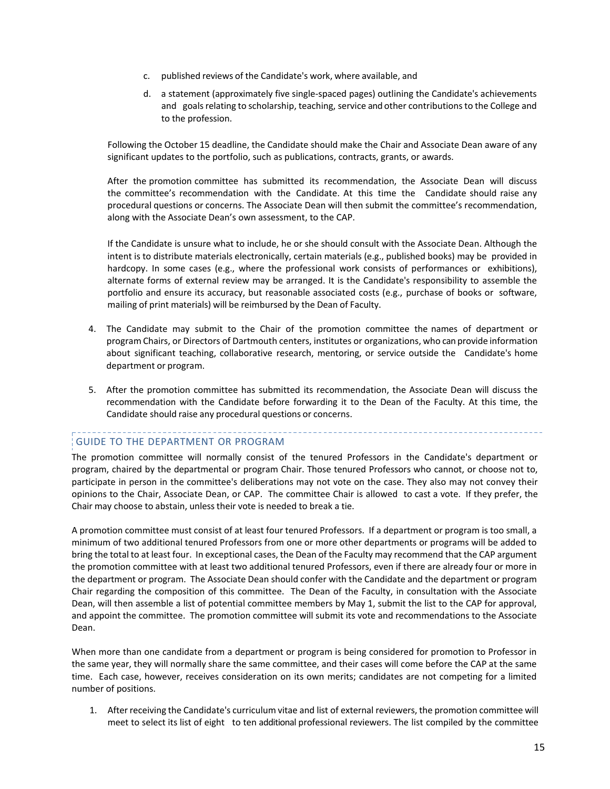- c. published reviews of the Candidate's work, where available, and
- d. a statement (approximately five single-spaced pages) outlining the Candidate's achievements and goals relating to scholarship, teaching, service and other contributions to the College and to the profession.

Following the October 15 deadline, the Candidate should make the Chair and Associate Dean aware of any significant updates to the portfolio, such as publications, contracts, grants, or awards.

After the promotion committee has submitted its recommendation, the Associate Dean will discuss the committee's recommendation with the Candidate. At this time the Candidate should raise any procedural questions or concerns. The Associate Dean will then submit the committee's recommendation, along with the Associate Dean's own assessment, to the CAP.

If the Candidate is unsure what to include, he or she should consult with the Associate Dean. Although the intent is to distribute materials electronically, certain materials (e.g., published books) may be provided in hardcopy. In some cases (e.g., where the professional work consists of performances or exhibitions), alternate forms of external review may be arranged. It is the Candidate's responsibility to assemble the portfolio and ensure its accuracy, but reasonable associated costs (e.g., purchase of books or software, mailing of print materials) will be reimbursed by the Dean of Faculty.

- 4. The Candidate may submit to the Chair of the promotion committee the names of department or program Chairs, or Directors of Dartmouth centers, institutes or organizations, who can provide information about significant teaching, collaborative research, mentoring, or service outside the Candidate's home department or program.
- 5. After the promotion committee has submitted its recommendation, the Associate Dean will discuss the recommendation with the Candidate before forwarding it to the Dean of the Faculty. At this time, the Candidate should raise any procedural questions or concerns.

# GUIDE TO THE DEPARTMENT OR PROGRAM

The promotion committee will normally consist of the tenured Professors in the Candidate's department or program, chaired by the departmental or program Chair. Those tenured Professors who cannot, or choose not to, participate in person in the committee's deliberations may not vote on the case. They also may not convey their opinions to the Chair, Associate Dean, or CAP. The committee Chair is allowed to cast a vote. If they prefer, the Chair may choose to abstain, unless their vote is needed to break a tie.

A promotion committee must consist of at least four tenured Professors. If a department or program is too small, a minimum of two additional tenured Professors from one or more other departments or programs will be added to bring the total to at least four. In exceptional cases, the Dean of the Faculty may recommend that the CAP argument the promotion committee with at least two additional tenured Professors, even if there are already four or more in the department or program. The Associate Dean should confer with the Candidate and the department or program Chair regarding the composition of this committee. The Dean of the Faculty, in consultation with the Associate Dean, will then assemble a list of potential committee members by May 1, submit the list to the CAP for approval, and appoint the committee. The promotion committee will submit its vote and recommendations to the Associate Dean.

When more than one candidate from a department or program is being considered for promotion to Professor in the same year, they will normally share the same committee, and their cases will come before the CAP at the same time. Each case, however, receives consideration on its own merits; candidates are not competing for a limited number of positions.

1. Afterreceiving the Candidate's curriculum vitae and list of external reviewers, the promotion committee will meet to select its list of eight to ten additional professional reviewers. The list compiled by the committee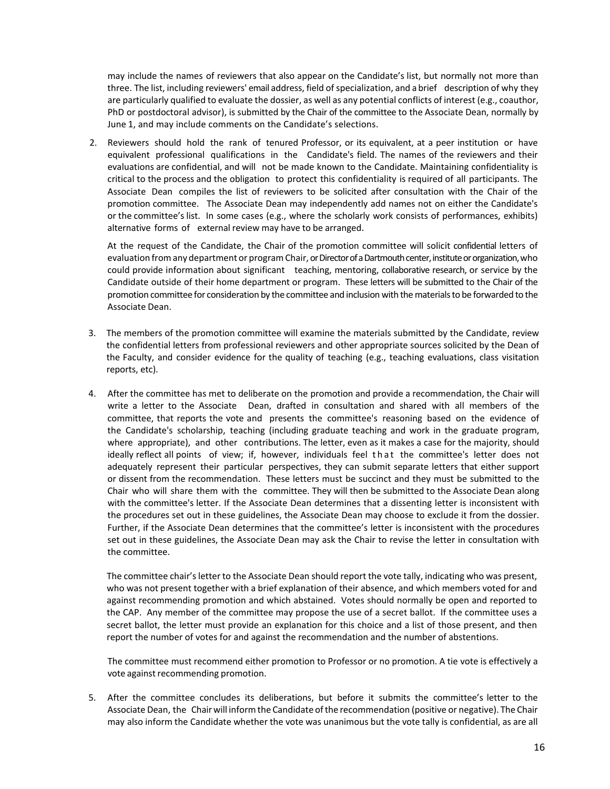may include the names of reviewers that also appear on the Candidate's list, but normally not more than three. The list, including reviewers' email address, field of specialization, and a brief description of why they are particularly qualified to evaluate the dossier, as well as any potential conflicts of interest (e.g., coauthor, PhD or postdoctoral advisor), is submitted by the Chair of the committee to the Associate Dean, normally by June 1, and may include comments on the Candidate's selections.

2. Reviewers should hold the rank of tenured Professor, or its equivalent, at a peer institution or have equivalent professional qualifications in the Candidate's field. The names of the reviewers and their evaluations are confidential, and will not be made known to the Candidate. Maintaining confidentiality is critical to the process and the obligation to protect this confidentiality is required of all participants. The Associate Dean compiles the list of reviewers to be solicited after consultation with the Chair of the promotion committee. The Associate Dean may independently add names not on either the Candidate's or the committee'slist. In some cases (e.g., where the scholarly work consists of performances, exhibits) alternative forms of external review may have to be arranged.

At the request of the Candidate, the Chair of the promotion committee will solicit confidential letters of evaluation fromany department or programChair, or Director of a Dartmouth center, institute or organization, who could provide information about significant teaching, mentoring, collaborative research, or service by the Candidate outside of their home department or program. These letters will be submitted to the Chair of the promotion committee for consideration by the committee and inclusion with the materials to be forwarded to the Associate Dean.

- 3. The members of the promotion committee will examine the materials submitted by the Candidate, review the confidential letters from professional reviewers and other appropriate sources solicited by the Dean of the Faculty, and consider evidence for the quality of teaching (e.g., teaching evaluations, class visitation reports, etc).
- 4. After the committee has met to deliberate on the promotion and provide a recommendation, the Chair will write a letter to the Associate Dean, drafted in consultation and shared with all members of the committee, that reports the vote and presents the committee's reasoning based on the evidence of the Candidate's scholarship, teaching (including graduate teaching and work in the graduate program, where appropriate), and other contributions. The letter, even as it makes a case for the majority, should ideally reflect all points of view; if, however, individuals feel that the committee's letter does not adequately represent their particular perspectives, they can submit separate letters that either support or dissent from the recommendation. These letters must be succinct and they must be submitted to the Chair who will share them with the committee. They will then be submitted to the Associate Dean along with the committee's letter. If the Associate Dean determines that a dissenting letter is inconsistent with the procedures set out in these guidelines, the Associate Dean may choose to exclude it from the dossier. Further, if the Associate Dean determines that the committee's letter is inconsistent with the procedures set out in these guidelines, the Associate Dean may ask the Chair to revise the letter in consultation with the committee.

The committee chair's letter to the Associate Dean should report the vote tally, indicating who was present, who was not present together with a brief explanation of their absence, and which members voted for and against recommending promotion and which abstained. Votes should normally be open and reported to the CAP. Any member of the committee may propose the use of a secret ballot. If the committee uses a secret ballot, the letter must provide an explanation for this choice and a list of those present, and then report the number of votes for and against the recommendation and the number of abstentions.

The committee must recommend either promotion to Professor or no promotion. A tie vote is effectively a vote against recommending promotion.

5. After the committee concludes its deliberations, but before it submits the committee's letter to the Associate Dean, the Chairwill informthe Candidate ofthe recommendation (positive or negative). The Chair may also inform the Candidate whether the vote was unanimous but the vote tally is confidential, as are all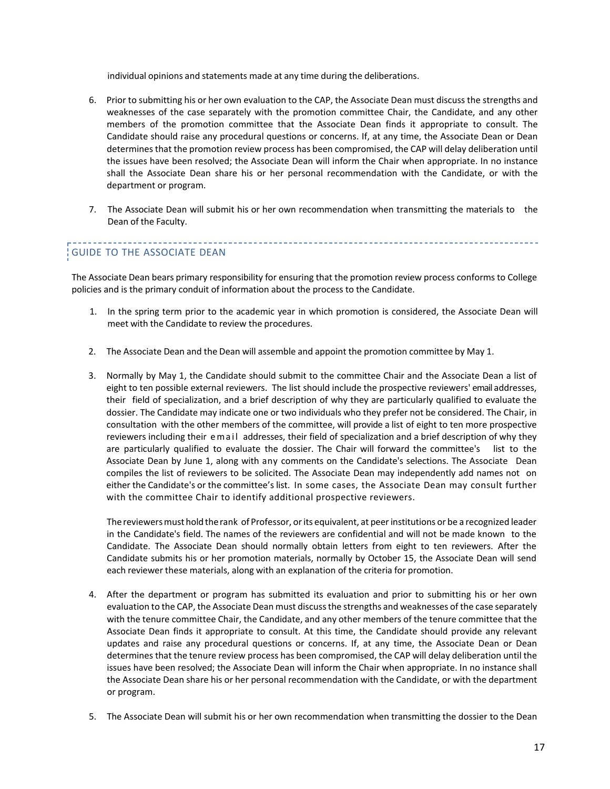individual opinions and statements made at any time during the deliberations.

- 6. Prior to submitting his or her own evaluation to the CAP, the Associate Dean must discuss the strengths and weaknesses of the case separately with the promotion committee Chair, the Candidate, and any other members of the promotion committee that the Associate Dean finds it appropriate to consult. The Candidate should raise any procedural questions or concerns. If, at any time, the Associate Dean or Dean determines that the promotion review process has been compromised, the CAP will delay deliberation until the issues have been resolved; the Associate Dean will inform the Chair when appropriate. In no instance shall the Associate Dean share his or her personal recommendation with the Candidate, or with the department or program.
- 7. The Associate Dean will submit his or her own recommendation when transmitting the materials to the Dean of the Faculty.

# GUIDE TO THE ASSOCIATE DEAN

The Associate Dean bears primary responsibility for ensuring that the promotion review process conforms to College policies and is the primary conduit of information about the process to the Candidate.

- 1. In the spring term prior to the academic year in which promotion is considered, the Associate Dean will meet with the Candidate to review the procedures.
- 2. The Associate Dean and the Dean will assemble and appoint the promotion committee by May 1.
- 3. Normally by May 1, the Candidate should submit to the committee Chair and the Associate Dean a list of eight to ten possible external reviewers. The list should include the prospective reviewers' email addresses, their field of specialization, and a brief description of why they are particularly qualified to evaluate the dossier. The Candidate may indicate one or two individuals who they prefer not be considered. The Chair, in consultation with the other members of the committee, will provide a list of eight to ten more prospective reviewers including their email addresses, their field of specialization and a brief description of why they are particularly qualified to evaluate the dossier. The Chair will forward the committee's list to the Associate Dean by June 1, along with any comments on the Candidate's selections. The Associate Dean compiles the list of reviewers to be solicited. The Associate Dean may independently add names not on either the Candidate's or the committee's list. In some cases, the Associate Dean may consult further with the committee Chair to identify additional prospective reviewers.

The reviewers must hold the rank of Professor, or its equivalent, at peer institutions or be a recognized leader in the Candidate's field. The names of the reviewers are confidential and will not be made known to the Candidate. The Associate Dean should normally obtain letters from eight to ten reviewers. After the Candidate submits his or her promotion materials, normally by October 15, the Associate Dean will send each reviewer these materials, along with an explanation of the criteria for promotion.

- 4. After the department or program has submitted its evaluation and prior to submitting his or her own evaluation to the CAP, the Associate Dean must discuss the strengths and weaknesses of the case separately with the tenure committee Chair, the Candidate, and any other members of the tenure committee that the Associate Dean finds it appropriate to consult. At this time, the Candidate should provide any relevant updates and raise any procedural questions or concerns. If, at any time, the Associate Dean or Dean determines that the tenure review process has been compromised, the CAP will delay deliberation until the issues have been resolved; the Associate Dean will inform the Chair when appropriate. In no instance shall the Associate Dean share his or her personal recommendation with the Candidate, or with the department or program.
- 5. The Associate Dean will submit his or her own recommendation when transmitting the dossier to the Dean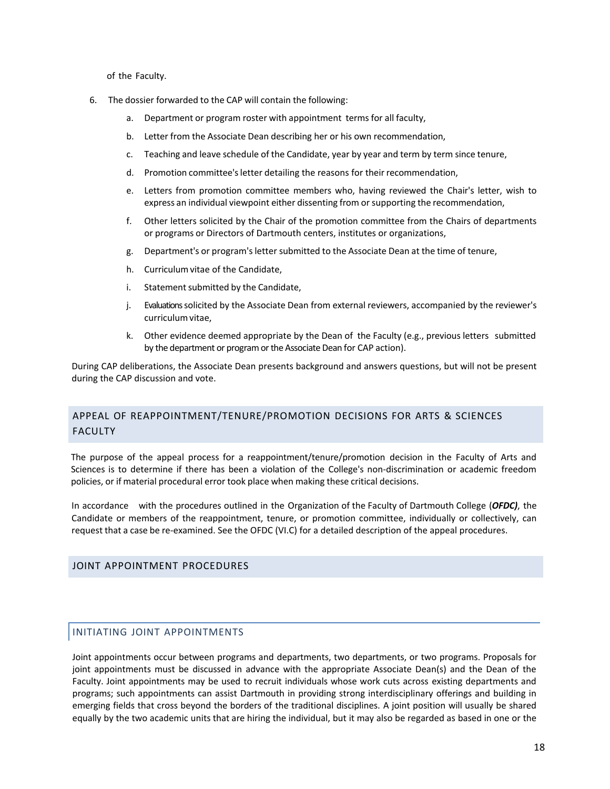of the Faculty.

- 6. The dossier forwarded to the CAP will contain the following:
	- a. Department or program roster with appointment terms for all faculty,
	- b. Letter from the Associate Dean describing her or his own recommendation,
	- c. Teaching and leave schedule of the Candidate, year by year and term by term since tenure,
	- d. Promotion committee's letter detailing the reasons for their recommendation,
	- e. Letters from promotion committee members who, having reviewed the Chair's letter, wish to express an individual viewpoint either dissenting from or supporting the recommendation,
	- f. Other letters solicited by the Chair of the promotion committee from the Chairs of departments or programs or Directors of Dartmouth centers, institutes or organizations,
	- g. Department's or program'sletter submitted to the Associate Dean at the time of tenure,
	- h. Curriculumvitae of the Candidate,
	- i. Statement submitted by the Candidate,
	- j. Evaluationssolicited by the Associate Dean from external reviewers, accompanied by the reviewer's curriculum vitae,
	- k. Other evidence deemed appropriate by the Dean of the Faculty (e.g., previous letters submitted by the department or program or the Associate Dean for CAP action).

During CAP deliberations, the Associate Dean presents background and answers questions, but will not be present during the CAP discussion and vote.

# <span id="page-17-0"></span>APPEAL OF REAPPOINTMENT/TENURE/PROMOTION DECISIONS FOR ARTS & SCIENCES FACULTY

The purpose of the appeal process for a reappointment/tenure/promotion decision in the Faculty of Arts and Sciences is to determine if there has been a violation of the College's non-discrimination or academic freedom policies, or if material procedural error took place when making these critical decisions.

In accordance with the procedures outlined in the Organization of the Faculty of Dartmouth College (*OFDC)*, the Candidate or members of the reappointment, tenure, or promotion committee, individually or collectively, can request that a case be re-examined. See the OFDC (VI.C) for a detailed description of the appeal procedures.

#### <span id="page-17-1"></span>JOINT APPOINTMENT PROCEDURES

#### <span id="page-17-2"></span>INITIATING JOINT APPOINTMENTS

Joint appointments occur between programs and departments, two departments, or two programs. Proposals for joint appointments must be discussed in advance with the appropriate Associate Dean(s) and the Dean of the Faculty. Joint appointments may be used to recruit individuals whose work cuts across existing departments and programs; such appointments can assist Dartmouth in providing strong interdisciplinary offerings and building in emerging fields that cross beyond the borders of the traditional disciplines. A joint position will usually be shared equally by the two academic units that are hiring the individual, but it may also be regarded as based in one or the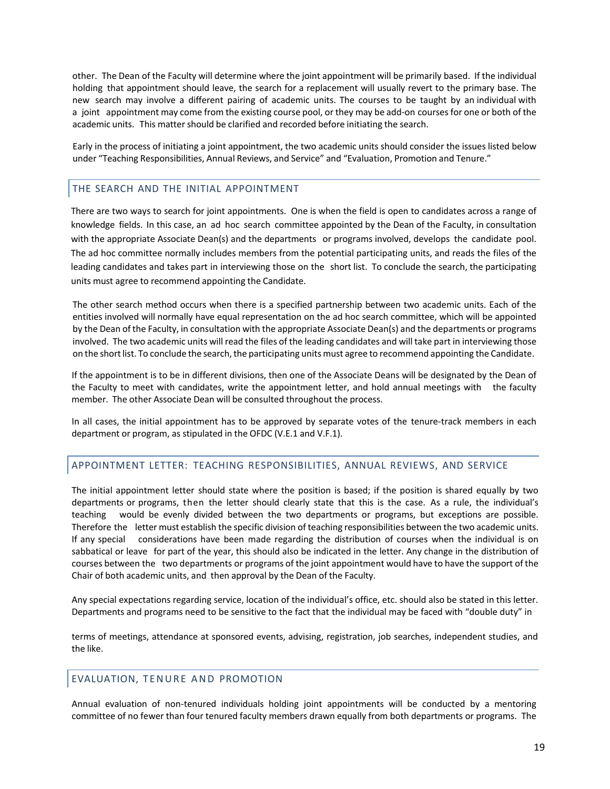other. The Dean of the Faculty will determine where the joint appointment will be primarily based. If the individual holding that appointment should leave, the search for a replacement will usually revert to the primary base. The new search may involve a different pairing of academic units. The courses to be taught by an individual with a joint appointment may come from the existing course pool, or they may be add-on coursesfor one or both of the academic units. This matter should be clarified and recorded before initiating the search.

Early in the process of initiating a joint appointment, the two academic units should consider the issues listed below under "Teaching Responsibilities, Annual Reviews, and Service" and "Evaluation, Promotion and Tenure."

#### <span id="page-18-0"></span>THE SEARCH AND THE INITIAL APPOINTMENT

There are two ways to search for joint appointments. One is when the field is open to candidates across a range of knowledge fields. In this case, an ad hoc search committee appointed by the Dean of the Faculty, in consultation with the appropriate Associate Dean(s) and the departments or programs involved, develops the candidate pool. The ad hoc committee normally includes members from the potential participating units, and reads the files of the leading candidates and takes part in interviewing those on the short list. To conclude the search, the participating units must agree to recommend appointing the Candidate.

The other search method occurs when there is a specified partnership between two academic units. Each of the entities involved will normally have equal representation on the ad hoc search committee, which will be appointed by the Dean of the Faculty, in consultation with the appropriate Associate Dean(s) and the departments or programs involved. The two academic units will read the files of the leading candidates and will take part in interviewing those on the short list. To conclude the search, the participating units must agree to recommend appointing the Candidate.

If the appointment is to be in different divisions, then one of the Associate Deans will be designated by the Dean of the Faculty to meet with candidates, write the appointment letter, and hold annual meetings with the faculty member. The other Associate Dean will be consulted throughout the process.

In all cases, the initial appointment has to be approved by separate votes of the tenure-track members in each department or program, as stipulated in the OFDC (V.E.1 and V.F.1).

# <span id="page-18-1"></span>APPOINTMENT LETTER: TEACHING RESPONSIBILITIES, ANNUAL REVIEWS, AND SERVICE

The initial appointment letter should state where the position is based; if the position is shared equally by two departments or programs, then the letter should clearly state that this is the case. As a rule, the individual's teaching would be evenly divided between the two departments or programs, but exceptions are possible. Therefore the letter must establish the specific division of teaching responsibilities between the two academic units. If any special considerations have been made regarding the distribution of courses when the individual is on sabbatical or leave for part of the year, this should also be indicated in the letter. Any change in the distribution of courses between the two departments or programs of the joint appointment would have to have the support of the Chair of both academic units, and then approval by the Dean of the Faculty.

Any special expectations regarding service, location of the individual's office, etc. should also be stated in this letter. Departments and programs need to be sensitive to the fact that the individual may be faced with "double duty" in

terms of meetings, attendance at sponsored events, advising, registration, job searches, independent studies, and the like.

#### <span id="page-18-2"></span>EVALUATION, TENURE AND PROMOTION

Annual evaluation of non-tenured individuals holding joint appointments will be conducted by a mentoring committee of no fewer than four tenured faculty members drawn equally from both departments or programs. The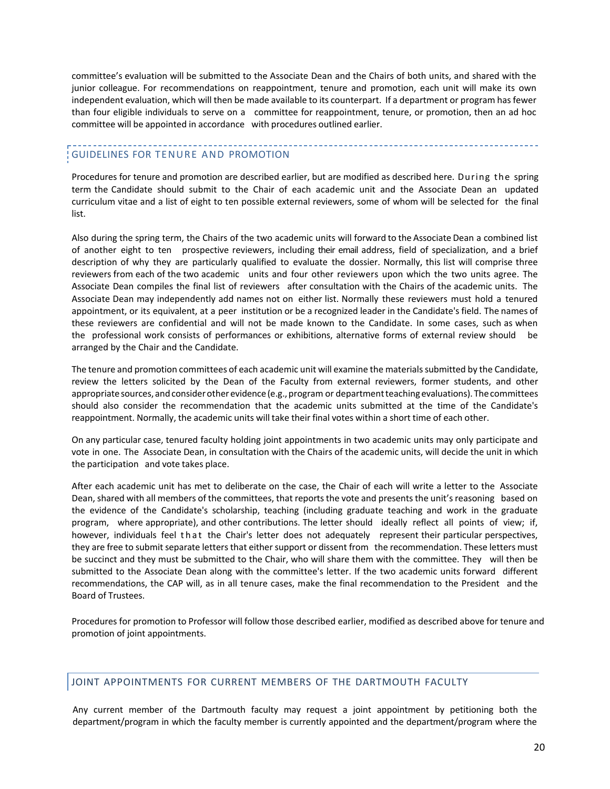committee's evaluation will be submitted to the Associate Dean and the Chairs of both units, and shared with the junior colleague. For recommendations on reappointment, tenure and promotion, each unit will make its own independent evaluation, which will then be made available to its counterpart. If a department or program hasfewer than four eligible individuals to serve on a committee for reappointment, tenure, or promotion, then an ad hoc committee will be appointed in accordance with procedures outlined earlier.

# GUIDELINES FOR TENURE AND PROMOTION

Procedures for tenure and promotion are described earlier, but are modified as described here. During the spring term the Candidate should submit to the Chair of each academic unit and the Associate Dean an updated curriculum vitae and a list of eight to ten possible external reviewers, some of whom will be selected for the final list.

Also during the spring term, the Chairs of the two academic units will forward to the Associate Dean a combined list of another eight to ten prospective reviewers, including their email address, field of specialization, and a brief description of why they are particularly qualified to evaluate the dossier. Normally, this list will comprise three reviewers from each of the two academic units and four other reviewers upon which the two units agree. The Associate Dean compiles the final list of reviewers after consultation with the Chairs of the academic units. The Associate Dean may independently add names not on either list. Normally these reviewers must hold a tenured appointment, or its equivalent, at a peer institution or be a recognized leader in the Candidate's field. The names of these reviewers are confidential and will not be made known to the Candidate. In some cases, such as when the professional work consists of performances or exhibitions, alternative forms of external review should be arranged by the Chair and the Candidate.

The tenure and promotion committees of each academic unit will examine the materialssubmitted by the Candidate, review the letters solicited by the Dean of the Faculty from external reviewers, former students, and other appropriate sources, and consider other evidence (e.g., program or department teaching evaluations). The committees should also consider the recommendation that the academic units submitted at the time of the Candidate's reappointment. Normally, the academic units will take their final votes within a short time of each other.

On any particular case, tenured faculty holding joint appointments in two academic units may only participate and vote in one. The Associate Dean, in consultation with the Chairs of the academic units, will decide the unit in which the participation and vote takes place.

After each academic unit has met to deliberate on the case, the Chair of each will write a letter to the Associate Dean, shared with all members of the committees, that reports the vote and presents the unit's reasoning based on the evidence of the Candidate's scholarship, teaching (including graduate teaching and work in the graduate program, where appropriate), and other contributions. The letter should ideally reflect all points of view; if, however, individuals feel that the Chair's letter does not adequately represent their particular perspectives, they are free to submit separate letters that either support or dissent from the recommendation. These letters must be succinct and they must be submitted to the Chair, who will share them with the committee. They will then be submitted to the Associate Dean along with the committee's letter. If the two academic units forward different recommendations, the CAP will, as in all tenure cases, make the final recommendation to the President and the Board of Trustees.

Procedures for promotion to Professor will follow those described earlier, modified as described above for tenure and promotion of joint appointments.

# <span id="page-19-0"></span>JOINT APPOINTMENTS FOR CURRENT MEMBERS OF THE DARTMOUTH FACULTY

Any current member of the Dartmouth faculty may request a joint appointment by petitioning both the department/program in which the faculty member is currently appointed and the department/program where the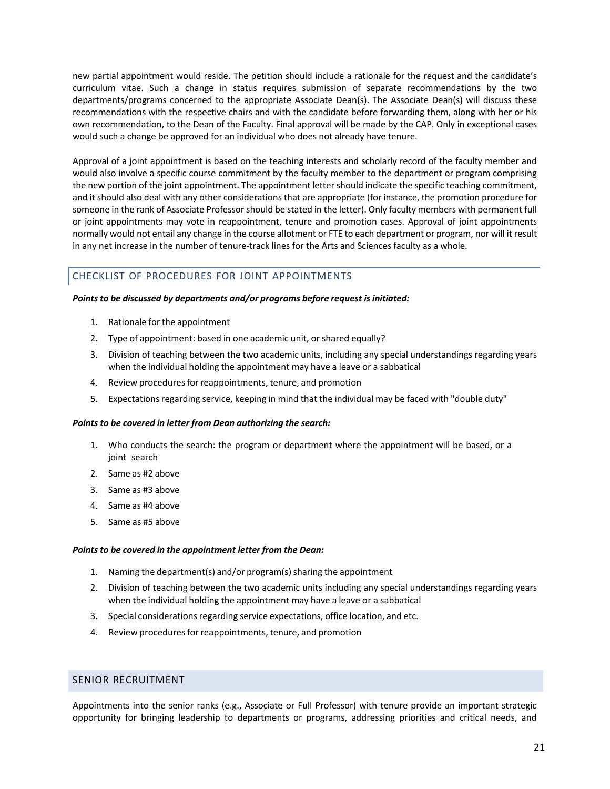new partial appointment would reside. The petition should include a rationale for the request and the candidate's curriculum vitae. Such a change in status requires submission of separate recommendations by the two departments/programs concerned to the appropriate Associate Dean(s). The Associate Dean(s) will discuss these recommendations with the respective chairs and with the candidate before forwarding them, along with her or his own recommendation, to the Dean of the Faculty. Final approval will be made by the CAP. Only in exceptional cases would such a change be approved for an individual who does not already have tenure.

Approval of a joint appointment is based on the teaching interests and scholarly record of the faculty member and would also involve a specific course commitment by the faculty member to the department or program comprising the new portion of the joint appointment. The appointment letter should indicate the specific teaching commitment, and it should also deal with any other considerations that are appropriate (for instance, the promotion procedure for someone in the rank of Associate Professor should be stated in the letter). Only faculty members with permanent full or joint appointments may vote in reappointment, tenure and promotion cases. Approval of joint appointments normally would not entail any change in the course allotment or FTE to each department or program, nor will it result in any net increase in the number of tenure-track lines for the Arts and Sciences faculty as a whole.

# <span id="page-20-0"></span>CHECKLIST OF PROCEDURES FOR JOINT APPOINTMENTS

#### *Pointsto be discussed by departments and/or programs before request isinitiated:*

- 1. Rationale for the appointment
- 2. Type of appointment: based in one academic unit, or shared equally?
- 3. Division of teaching between the two academic units, including any special understandings regarding years when the individual holding the appointment may have a leave or a sabbatical
- 4. Review procedures for reappointments, tenure, and promotion
- 5. Expectations regarding service, keeping in mind that the individual may be faced with "double duty"

#### *Points to be covered in letter from Dean authorizing the search:*

- 1. Who conducts the search: the program or department where the appointment will be based, or a joint search
- 2. Same as #2 above
- 3. Same as #3 above
- 4. Same as #4 above
- 5. Same as #5 above

#### *Points to be covered in the appointment letter from the Dean:*

- 1. Naming the department(s) and/or program(s) sharing the appointment
- 2. Division of teaching between the two academic units including any special understandings regarding years when the individual holding the appointment may have a leave or a sabbatical
- 3. Special considerations regarding service expectations, office location, and etc.
- 4. Review procedures for reappointments, tenure, and promotion

# <span id="page-20-1"></span>SENIOR RECRUITMENT

Appointments into the senior ranks (e.g., Associate or Full Professor) with tenure provide an important strategic opportunity for bringing leadership to departments or programs, addressing priorities and critical needs, and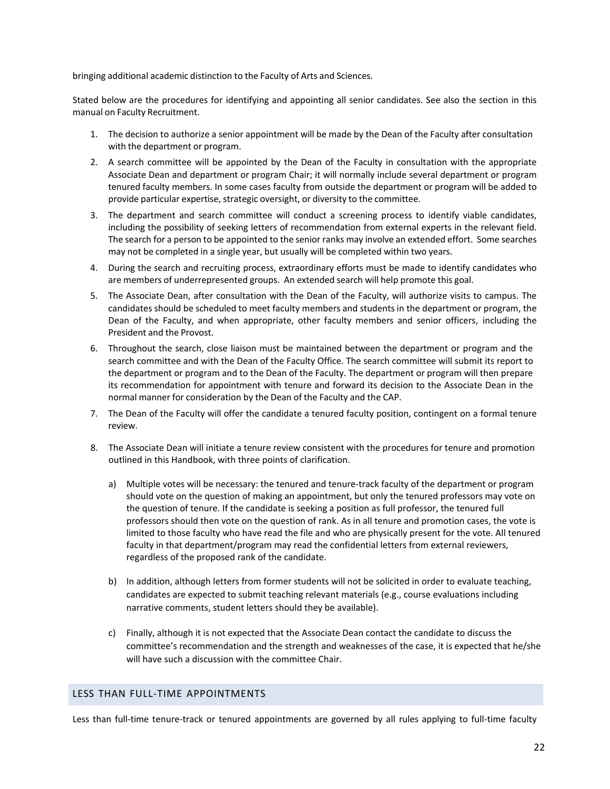bringing additional academic distinction to the Faculty of Arts and Sciences.

Stated below are the procedures for identifying and appointing all senior candidates. See also the section in this manual on Faculty Recruitment.

- 1. The decision to authorize a senior appointment will be made by the Dean of the Faculty after consultation with the department or program.
- 2. A search committee will be appointed by the Dean of the Faculty in consultation with the appropriate Associate Dean and department or program Chair; it will normally include several department or program tenured faculty members. In some cases faculty from outside the department or program will be added to provide particular expertise, strategic oversight, or diversity to the committee.
- 3. The department and search committee will conduct a screening process to identify viable candidates, including the possibility of seeking letters of recommendation from external experts in the relevant field. The search for a person to be appointed to the senior ranks may involve an extended effort. Some searches may not be completed in a single year, but usually will be completed within two years.
- 4. During the search and recruiting process, extraordinary efforts must be made to identify candidates who are members of underrepresented groups. An extended search will help promote this goal.
- 5. The Associate Dean, after consultation with the Dean of the Faculty, will authorize visits to campus. The candidates should be scheduled to meet faculty members and students in the department or program, the Dean of the Faculty, and when appropriate, other faculty members and senior officers, including the President and the Provost.
- 6. Throughout the search, close liaison must be maintained between the department or program and the search committee and with the Dean of the Faculty Office. The search committee will submit its report to the department or program and to the Dean of the Faculty. The department or program will then prepare its recommendation for appointment with tenure and forward its decision to the Associate Dean in the normal manner for consideration by the Dean of the Faculty and the CAP.
- 7. The Dean of the Faculty will offer the candidate a tenured faculty position, contingent on a formal tenure review.
- 8. The Associate Dean will initiate a tenure review consistent with the procedures for tenure and promotion outlined in this Handbook, with three points of clarification.
	- a) Multiple votes will be necessary: the tenured and tenure-track faculty of the department or program should vote on the question of making an appointment, but only the tenured professors may vote on the question of tenure. If the candidate is seeking a position as full professor, the tenured full professors should then vote on the question of rank. As in all tenure and promotion cases, the vote is limited to those faculty who have read the file and who are physically present for the vote. All tenured faculty in that department/program may read the confidential letters from external reviewers, regardless of the proposed rank of the candidate.
	- b) In addition, although letters from former students will not be solicited in order to evaluate teaching, candidates are expected to submit teaching relevant materials (e.g., course evaluations including narrative comments, student letters should they be available).
	- c) Finally, although it is not expected that the Associate Dean contact the candidate to discuss the committee's recommendation and the strength and weaknesses of the case, it is expected that he/she will have such a discussion with the committee Chair.

# <span id="page-21-0"></span>LESS THAN FULL-TIME APPOINTMENTS

Less than full-time tenure-track or tenured appointments are governed by all rules applying to full-time faculty